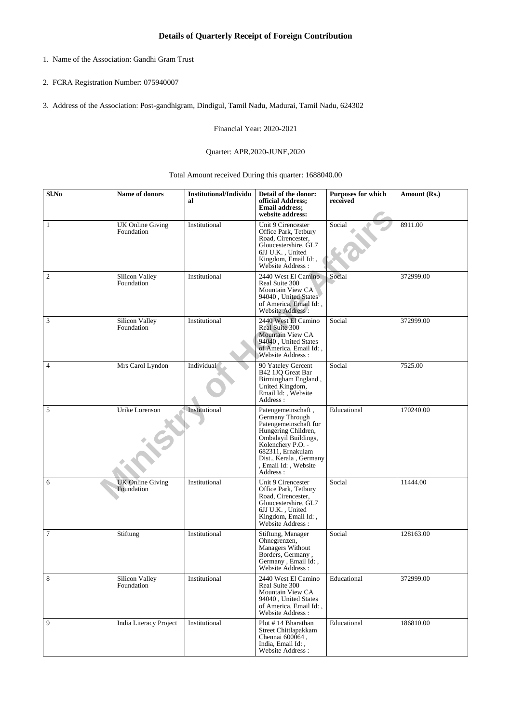- 1. Name of the Association: Gandhi Gram Trust
- 2. FCRA Registration Number: 075940007
- 3. Address of the Association: Post-gandhigram, Dindigul, Tamil Nadu, Madurai, Tamil Nadu, 624302

Financial Year: 2020-2021

## Quarter: APR,2020-JUNE,2020

Total Amount received During this quarter: 1688040.00

| Sl.No           | Name of donors                        | <b>Institutional/Individu</b><br>al | Detail of the donor:<br>official Address;<br><b>Email address:</b><br>website address:                                                                                                                                 | Purposes for which<br>received | Amount (Rs.) |
|-----------------|---------------------------------------|-------------------------------------|------------------------------------------------------------------------------------------------------------------------------------------------------------------------------------------------------------------------|--------------------------------|--------------|
| 1               | <b>UK Online Giving</b><br>Foundation | Institutional                       | Unit 9 Cirencester<br>Office Park, Tetbury<br>Road, Cirencester,<br>Gloucestershire, GL7<br>6JJ U.K., United<br>Kingdom, Email Id:,<br>Website Address:                                                                | Social                         | 8911.00      |
| $\overline{2}$  | Silicon Valley<br>Foundation          | Institutional                       | 2440 West El Camino<br>Real Suite 300<br>Mountain View CA<br>94040, United States<br>of America, Email Id:,<br>Website Address:                                                                                        | Social                         | 372999.00    |
| 3               | Silicon Valley<br>Foundation          | Institutional                       | 2440 West El Camino<br>Real Suite 300<br>Mountain View CA<br>94040, United States<br>of America, Email Id:,<br><b>Website Address:</b>                                                                                 | Social                         | 372999.00    |
| $\overline{4}$  | Mrs Carol Lyndon                      | Individual                          | 90 Yateley Gercent<br>B42 1JQ Great Bar<br>Birmingham England,<br>United Kingdom,<br>Email Id:, Website<br>Address:                                                                                                    | Social                         | 7525.00      |
| 5               | Urike Lorenson                        | Institutional                       | Patengemeinschaft,<br>Germany Through<br>Patengemeinschaft for<br>Hungering Children,<br>Ombalayil Buildings,<br>Kolenchery P.O. -<br>682311, Ernakulam<br>Dist., Kerala, Germany<br>, Email Id: , Website<br>Address: | Educational                    | 170240.00    |
| 6               | <b>UK Online Giving</b><br>Foundation | Institutional                       | Unit 9 Cirencester<br>Office Park, Tetbury<br>Road, Cirencester,<br>Gloucestershire, GL7<br>6JJ U.K., United<br>Kingdom, Email Id:,<br>Website Address:                                                                | Social                         | 11444.00     |
| $7\phantom{.0}$ | Stiftung                              | Institutional                       | Stiftung, Manager<br>Ohnegrenzen,<br>Managers Without<br>Borders, Germany,<br>Germany, Email Id:,<br>Website Address:                                                                                                  | Social                         | 128163.00    |
| 8               | Silicon Valley<br>Foundation          | Institutional                       | 2440 West El Camino<br>Real Suite 300<br>Mountain View CA<br>94040, United States<br>of America, Email Id:,<br>Website Address:                                                                                        | Educational                    | 372999.00    |
| 9               | <b>India Literacy Project</b>         | Institutional                       | Plot #14 Bharathan<br>Street Chittlapakkam<br>Chennai 600064,<br>India, Email Id:,<br>Website Address :                                                                                                                | Educational                    | 186810.00    |